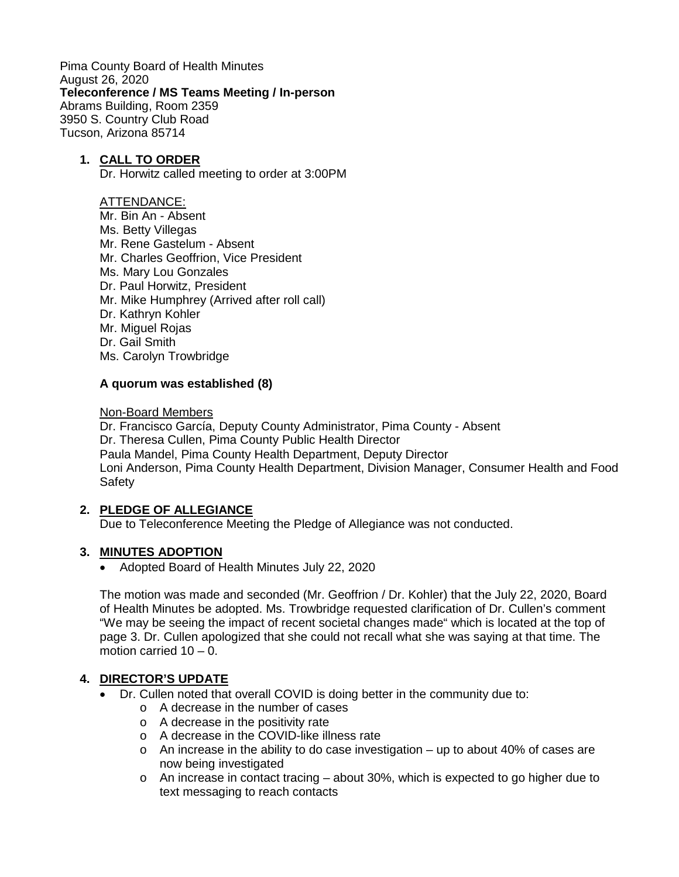Pima County Board of Health Minutes August 26, 2020 **Teleconference / MS Teams Meeting / In-person** Abrams Building, Room 2359 3950 S. Country Club Road Tucson, Arizona 85714

### **1. CALL TO ORDER**

Dr. Horwitz called meeting to order at 3:00PM

#### ATTENDANCE:

Mr. Bin An - Absent Ms. Betty Villegas Mr. Rene Gastelum - Absent Mr. Charles Geoffrion, Vice President Ms. Mary Lou Gonzales Dr. Paul Horwitz, President Mr. Mike Humphrey (Arrived after roll call) Dr. Kathryn Kohler Mr. Miguel Rojas Dr. Gail Smith Ms. Carolyn Trowbridge

### **A quorum was established (8)**

#### Non-Board Members

Dr. Francisco García, Deputy County Administrator, Pima County - Absent Dr. Theresa Cullen, Pima County Public Health Director Paula Mandel, Pima County Health Department, Deputy Director Loni Anderson, Pima County Health Department, Division Manager, Consumer Health and Food **Safety** 

### **2. PLEDGE OF ALLEGIANCE**

Due to Teleconference Meeting the Pledge of Allegiance was not conducted.

### **3. MINUTES ADOPTION**

• Adopted Board of Health Minutes July 22, 2020

The motion was made and seconded (Mr. Geoffrion / Dr. Kohler) that the July 22, 2020, Board of Health Minutes be adopted. Ms. Trowbridge requested clarification of Dr. Cullen's comment "We may be seeing the impact of recent societal changes made" which is located at the top of page 3. Dr. Cullen apologized that she could not recall what she was saying at that time. The motion carried  $10 - 0$ .

### **4. DIRECTOR'S UPDATE**

- Dr. Cullen noted that overall COVID is doing better in the community due to:
	- o A decrease in the number of cases
	- o A decrease in the positivity rate
	- o A decrease in the COVID-like illness rate
	- $\circ$  An increase in the ability to do case investigation up to about 40% of cases are now being investigated
	- o An increase in contact tracing about 30%, which is expected to go higher due to text messaging to reach contacts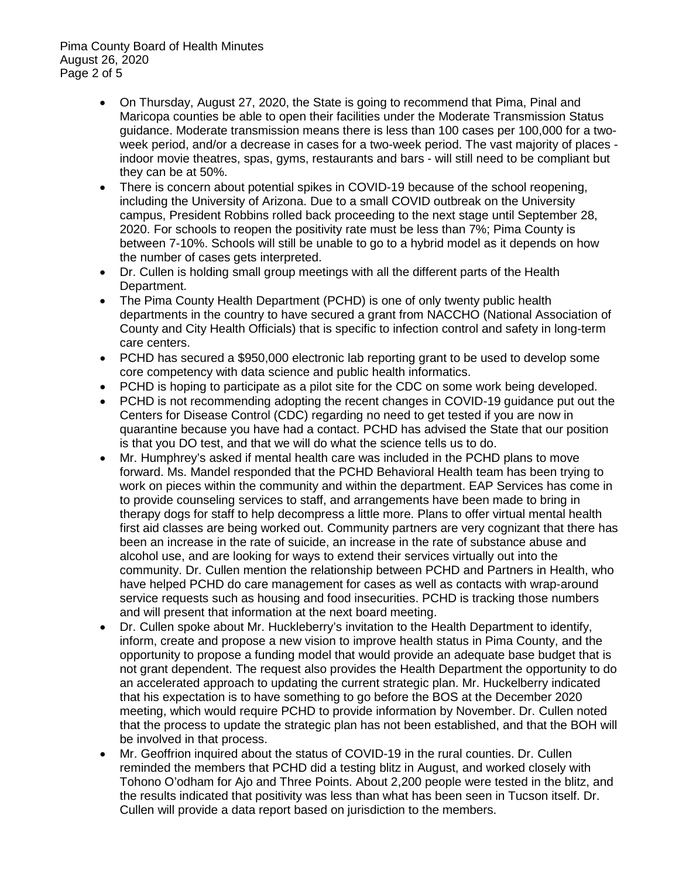- On Thursday, August 27, 2020, the State is going to recommend that Pima, Pinal and Maricopa counties be able to open their facilities under the Moderate Transmission Status guidance. Moderate transmission means there is less than 100 cases per 100,000 for a twoweek period, and/or a decrease in cases for a two-week period. The vast majority of places indoor movie theatres, spas, gyms, restaurants and bars - will still need to be compliant but they can be at 50%.
- There is concern about potential spikes in COVID-19 because of the school reopening, including the University of Arizona. Due to a small COVID outbreak on the University campus, President Robbins rolled back proceeding to the next stage until September 28, 2020. For schools to reopen the positivity rate must be less than 7%; Pima County is between 7-10%. Schools will still be unable to go to a hybrid model as it depends on how the number of cases gets interpreted.
- Dr. Cullen is holding small group meetings with all the different parts of the Health Department.
- The Pima County Health Department (PCHD) is one of only twenty public health departments in the country to have secured a grant from NACCHO (National Association of County and City Health Officials) that is specific to infection control and safety in long-term care centers.
- PCHD has secured a \$950,000 electronic lab reporting grant to be used to develop some core competency with data science and public health informatics.
- PCHD is hoping to participate as a pilot site for the CDC on some work being developed.
- PCHD is not recommending adopting the recent changes in COVID-19 guidance put out the Centers for Disease Control (CDC) regarding no need to get tested if you are now in quarantine because you have had a contact. PCHD has advised the State that our position is that you DO test, and that we will do what the science tells us to do.
- Mr. Humphrey's asked if mental health care was included in the PCHD plans to move forward. Ms. Mandel responded that the PCHD Behavioral Health team has been trying to work on pieces within the community and within the department. EAP Services has come in to provide counseling services to staff, and arrangements have been made to bring in therapy dogs for staff to help decompress a little more. Plans to offer virtual mental health first aid classes are being worked out. Community partners are very cognizant that there has been an increase in the rate of suicide, an increase in the rate of substance abuse and alcohol use, and are looking for ways to extend their services virtually out into the community. Dr. Cullen mention the relationship between PCHD and Partners in Health, who have helped PCHD do care management for cases as well as contacts with wrap-around service requests such as housing and food insecurities. PCHD is tracking those numbers and will present that information at the next board meeting.
- Dr. Cullen spoke about Mr. Huckleberry's invitation to the Health Department to identify, inform, create and propose a new vision to improve health status in Pima County, and the opportunity to propose a funding model that would provide an adequate base budget that is not grant dependent. The request also provides the Health Department the opportunity to do an accelerated approach to updating the current strategic plan. Mr. Huckelberry indicated that his expectation is to have something to go before the BOS at the December 2020 meeting, which would require PCHD to provide information by November. Dr. Cullen noted that the process to update the strategic plan has not been established, and that the BOH will be involved in that process.
- Mr. Geoffrion inquired about the status of COVID-19 in the rural counties. Dr. Cullen reminded the members that PCHD did a testing blitz in August, and worked closely with Tohono O'odham for Ajo and Three Points. About 2,200 people were tested in the blitz, and the results indicated that positivity was less than what has been seen in Tucson itself. Dr. Cullen will provide a data report based on jurisdiction to the members.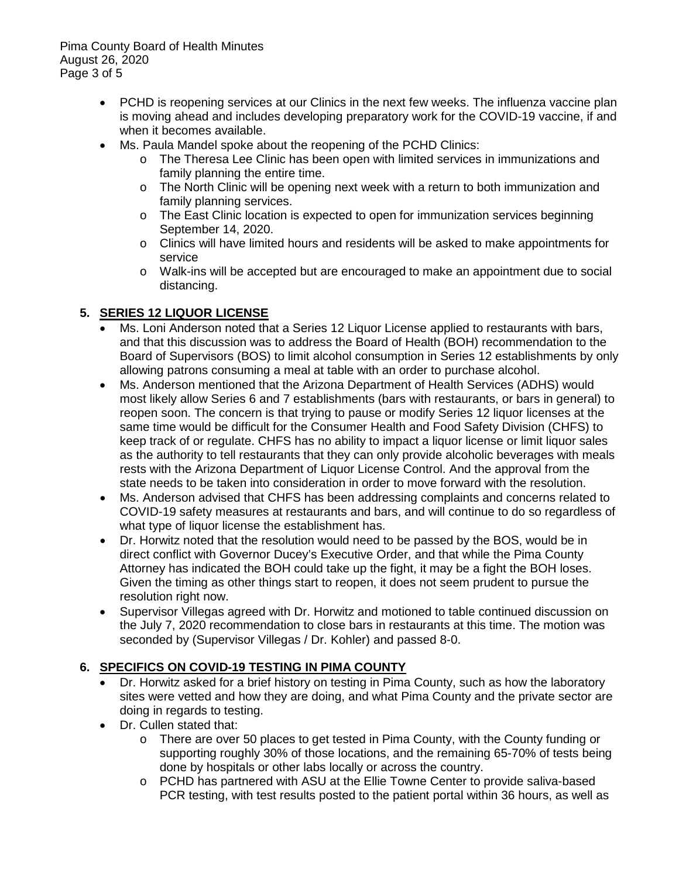Pima County Board of Health Minutes August 26, 2020 Page 3 of 5

- PCHD is reopening services at our Clinics in the next few weeks. The influenza vaccine plan is moving ahead and includes developing preparatory work for the COVID-19 vaccine, if and when it becomes available.
- Ms. Paula Mandel spoke about the reopening of the PCHD Clinics:
	- o The Theresa Lee Clinic has been open with limited services in immunizations and family planning the entire time.
	- $\circ$  The North Clinic will be opening next week with a return to both immunization and family planning services.
	- o The East Clinic location is expected to open for immunization services beginning September 14, 2020.
	- o Clinics will have limited hours and residents will be asked to make appointments for service
	- o Walk-ins will be accepted but are encouraged to make an appointment due to social distancing.

# **5. SERIES 12 LIQUOR LICENSE**

- Ms. Loni Anderson noted that a Series 12 Liquor License applied to restaurants with bars, and that this discussion was to address the Board of Health (BOH) recommendation to the Board of Supervisors (BOS) to limit alcohol consumption in Series 12 establishments by only allowing patrons consuming a meal at table with an order to purchase alcohol.
- Ms. Anderson mentioned that the Arizona Department of Health Services (ADHS) would most likely allow Series 6 and 7 establishments (bars with restaurants, or bars in general) to reopen soon. The concern is that trying to pause or modify Series 12 liquor licenses at the same time would be difficult for the Consumer Health and Food Safety Division (CHFS) to keep track of or regulate. CHFS has no ability to impact a liquor license or limit liquor sales as the authority to tell restaurants that they can only provide alcoholic beverages with meals rests with the Arizona Department of Liquor License Control. And the approval from the state needs to be taken into consideration in order to move forward with the resolution.
- Ms. Anderson advised that CHFS has been addressing complaints and concerns related to COVID-19 safety measures at restaurants and bars, and will continue to do so regardless of what type of liquor license the establishment has.
- Dr. Horwitz noted that the resolution would need to be passed by the BOS, would be in direct conflict with Governor Ducey's Executive Order, and that while the Pima County Attorney has indicated the BOH could take up the fight, it may be a fight the BOH loses. Given the timing as other things start to reopen, it does not seem prudent to pursue the resolution right now.
- Supervisor Villegas agreed with Dr. Horwitz and motioned to table continued discussion on the July 7, 2020 recommendation to close bars in restaurants at this time. The motion was seconded by (Supervisor Villegas / Dr. Kohler) and passed 8-0.

# **6. SPECIFICS ON COVID-19 TESTING IN PIMA COUNTY**

- Dr. Horwitz asked for a brief history on testing in Pima County, such as how the laboratory sites were vetted and how they are doing, and what Pima County and the private sector are doing in regards to testing.
- Dr. Cullen stated that:
	- o There are over 50 places to get tested in Pima County, with the County funding or supporting roughly 30% of those locations, and the remaining 65-70% of tests being done by hospitals or other labs locally or across the country.
	- o PCHD has partnered with ASU at the Ellie Towne Center to provide saliva-based PCR testing, with test results posted to the patient portal within 36 hours, as well as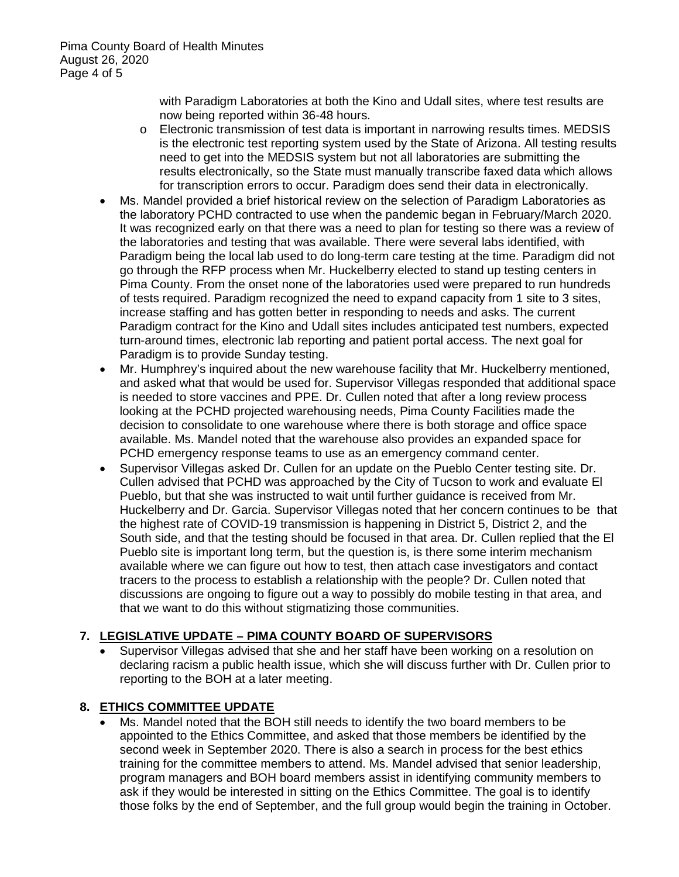with Paradigm Laboratories at both the Kino and Udall sites, where test results are now being reported within 36-48 hours.

- o Electronic transmission of test data is important in narrowing results times. MEDSIS is the electronic test reporting system used by the State of Arizona. All testing results need to get into the MEDSIS system but not all laboratories are submitting the results electronically, so the State must manually transcribe faxed data which allows for transcription errors to occur. Paradigm does send their data in electronically.
- Ms. Mandel provided a brief historical review on the selection of Paradigm Laboratories as the laboratory PCHD contracted to use when the pandemic began in February/March 2020. It was recognized early on that there was a need to plan for testing so there was a review of the laboratories and testing that was available. There were several labs identified, with Paradigm being the local lab used to do long-term care testing at the time. Paradigm did not go through the RFP process when Mr. Huckelberry elected to stand up testing centers in Pima County. From the onset none of the laboratories used were prepared to run hundreds of tests required. Paradigm recognized the need to expand capacity from 1 site to 3 sites, increase staffing and has gotten better in responding to needs and asks. The current Paradigm contract for the Kino and Udall sites includes anticipated test numbers, expected turn-around times, electronic lab reporting and patient portal access. The next goal for Paradigm is to provide Sunday testing.
- Mr. Humphrey's inquired about the new warehouse facility that Mr. Huckelberry mentioned, and asked what that would be used for. Supervisor Villegas responded that additional space is needed to store vaccines and PPE. Dr. Cullen noted that after a long review process looking at the PCHD projected warehousing needs, Pima County Facilities made the decision to consolidate to one warehouse where there is both storage and office space available. Ms. Mandel noted that the warehouse also provides an expanded space for PCHD emergency response teams to use as an emergency command center.
- Supervisor Villegas asked Dr. Cullen for an update on the Pueblo Center testing site. Dr. Cullen advised that PCHD was approached by the City of Tucson to work and evaluate El Pueblo, but that she was instructed to wait until further guidance is received from Mr. Huckelberry and Dr. Garcia. Supervisor Villegas noted that her concern continues to be that the highest rate of COVID-19 transmission is happening in District 5, District 2, and the South side, and that the testing should be focused in that area. Dr. Cullen replied that the El Pueblo site is important long term, but the question is, is there some interim mechanism available where we can figure out how to test, then attach case investigators and contact tracers to the process to establish a relationship with the people? Dr. Cullen noted that discussions are ongoing to figure out a way to possibly do mobile testing in that area, and that we want to do this without stigmatizing those communities.

# **7. LEGISLATIVE UPDATE – PIMA COUNTY BOARD OF SUPERVISORS**

• Supervisor Villegas advised that she and her staff have been working on a resolution on declaring racism a public health issue, which she will discuss further with Dr. Cullen prior to reporting to the BOH at a later meeting.

# **8. ETHICS COMMITTEE UPDATE**

• Ms. Mandel noted that the BOH still needs to identify the two board members to be appointed to the Ethics Committee, and asked that those members be identified by the second week in September 2020. There is also a search in process for the best ethics training for the committee members to attend. Ms. Mandel advised that senior leadership, program managers and BOH board members assist in identifying community members to ask if they would be interested in sitting on the Ethics Committee. The goal is to identify those folks by the end of September, and the full group would begin the training in October.